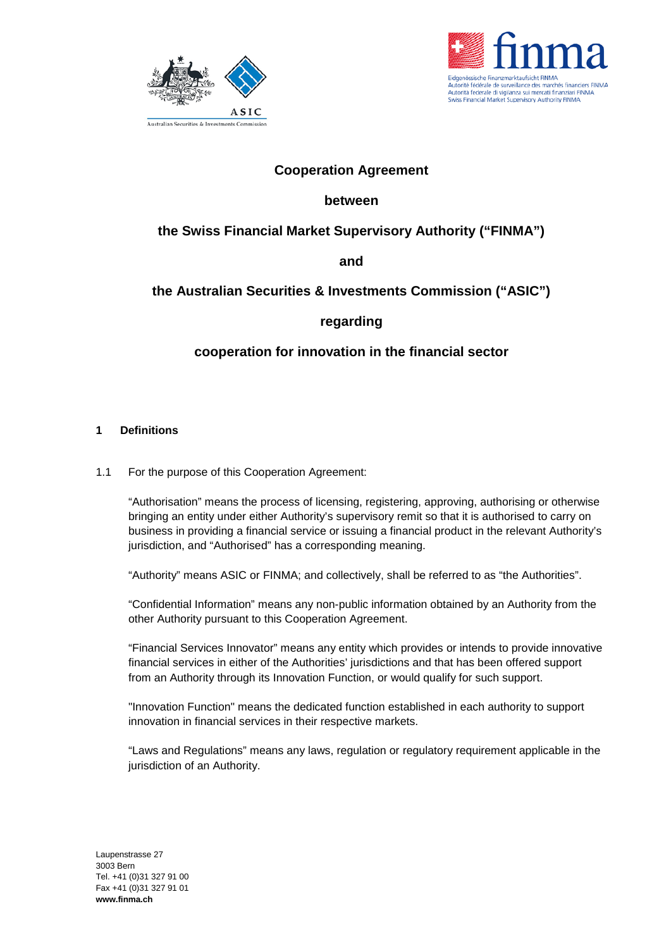



# **Cooperation Agreement**

# **between**

# **the Swiss Financial Market Supervisory Authority ("FINMA")**

**and**

# **the Australian Securities & Investments Commission ("ASIC")**

# **regarding**

# **cooperation for innovation in the financial sector**

### **1 Definitions**

1.1 For the purpose of this Cooperation Agreement:

"Authorisation" means the process of licensing, registering, approving, authorising or otherwise bringing an entity under either Authority's supervisory remit so that it is authorised to carry on business in providing a financial service or issuing a financial product in the relevant Authority's jurisdiction, and "Authorised" has a corresponding meaning.

"Authority" means ASIC or FINMA; and collectively, shall be referred to as "the Authorities".

"Confidential Information" means any non-public information obtained by an Authority from the other Authority pursuant to this Cooperation Agreement.

"Financial Services Innovator" means any entity which provides or intends to provide innovative financial services in either of the Authorities' jurisdictions and that has been offered support from an Authority through its Innovation Function, or would qualify for such support.

"Innovation Function" means the dedicated function established in each authority to support innovation in financial services in their respective markets.

"Laws and Regulations" means any laws, regulation or regulatory requirement applicable in the jurisdiction of an Authority.

Laupenstrasse 27 3003 Bern Tel. +41 (0)31 327 91 00 Fax +41 (0)31 327 91 01 **www.finma.ch**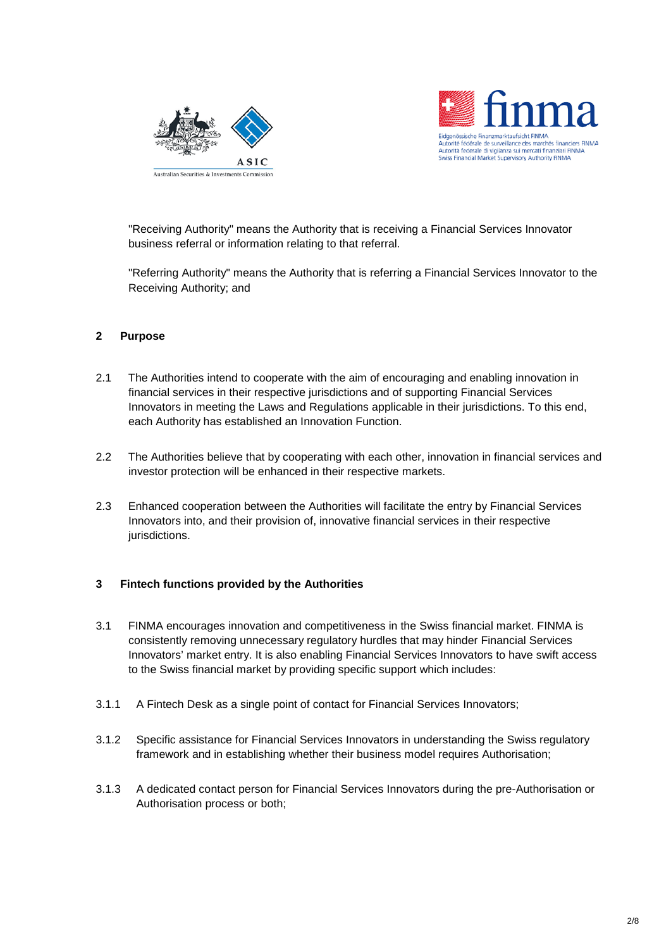



"Receiving Authority" means the Authority that is receiving a Financial Services Innovator business referral or information relating to that referral.

"Referring Authority" means the Authority that is referring a Financial Services Innovator to the Receiving Authority; and

### **2 Purpose**

- 2.1 The Authorities intend to cooperate with the aim of encouraging and enabling innovation in financial services in their respective jurisdictions and of supporting Financial Services Innovators in meeting the Laws and Regulations applicable in their jurisdictions. To this end, each Authority has established an Innovation Function.
- 2.2 The Authorities believe that by cooperating with each other, innovation in financial services and investor protection will be enhanced in their respective markets.
- 2.3 Enhanced cooperation between the Authorities will facilitate the entry by Financial Services Innovators into, and their provision of, innovative financial services in their respective jurisdictions.

### **3 Fintech functions provided by the Authorities**

- 3.1 FINMA encourages innovation and competitiveness in the Swiss financial market. FINMA is consistently removing unnecessary regulatory hurdles that may hinder Financial Services Innovators' market entry. It is also enabling Financial Services Innovators to have swift access to the Swiss financial market by providing specific support which includes:
- 3.1.1 A Fintech Desk as a single point of contact for Financial Services Innovators;
- 3.1.2 Specific assistance for Financial Services Innovators in understanding the Swiss regulatory framework and in establishing whether their business model requires Authorisation;
- 3.1.3 A dedicated contact person for Financial Services Innovators during the pre-Authorisation or Authorisation process or both;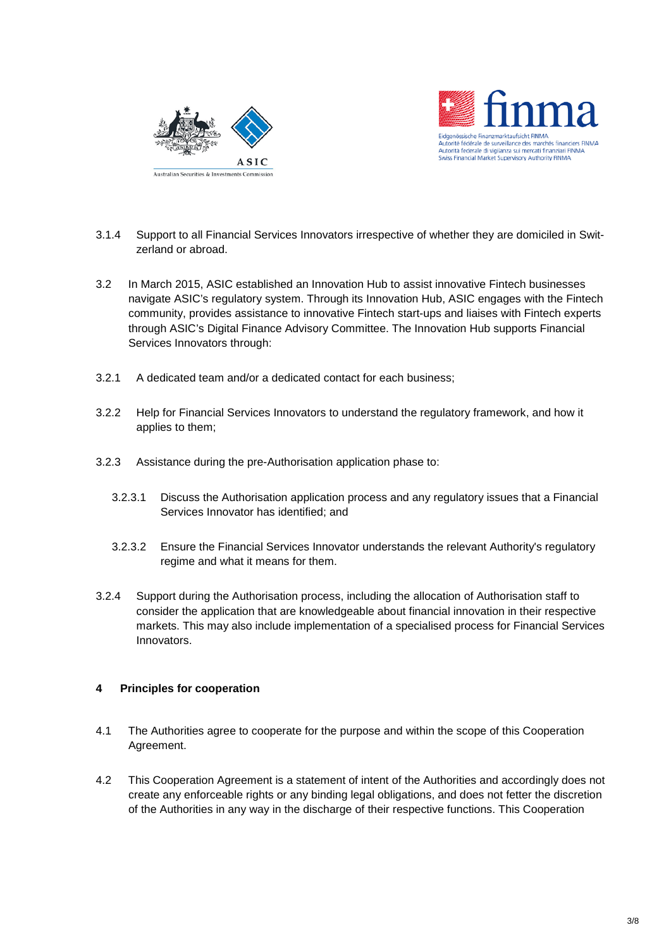



- 3.1.4 Support to all Financial Services Innovators irrespective of whether they are domiciled in Switzerland or abroad.
- 3.2 In March 2015, ASIC established an Innovation Hub to assist innovative Fintech businesses navigate ASIC's regulatory system. Through its Innovation Hub, ASIC engages with the Fintech community, provides assistance to innovative Fintech start-ups and liaises with Fintech experts through ASIC's Digital Finance Advisory Committee. The Innovation Hub supports Financial Services Innovators through:
- 3.2.1 A dedicated team and/or a dedicated contact for each business;
- 3.2.2 Help for Financial Services Innovators to understand the regulatory framework, and how it applies to them;
- 3.2.3 Assistance during the pre-Authorisation application phase to:
	- 3.2.3.1 Discuss the Authorisation application process and any regulatory issues that a Financial Services Innovator has identified; and
	- 3.2.3.2 Ensure the Financial Services Innovator understands the relevant Authority's regulatory regime and what it means for them.
- 3.2.4 Support during the Authorisation process, including the allocation of Authorisation staff to consider the application that are knowledgeable about financial innovation in their respective markets. This may also include implementation of a specialised process for Financial Services Innovators.

### **4 Principles for cooperation**

- 4.1 The Authorities agree to cooperate for the purpose and within the scope of this Cooperation Agreement.
- 4.2 This Cooperation Agreement is a statement of intent of the Authorities and accordingly does not create any enforceable rights or any binding legal obligations, and does not fetter the discretion of the Authorities in any way in the discharge of their respective functions. This Cooperation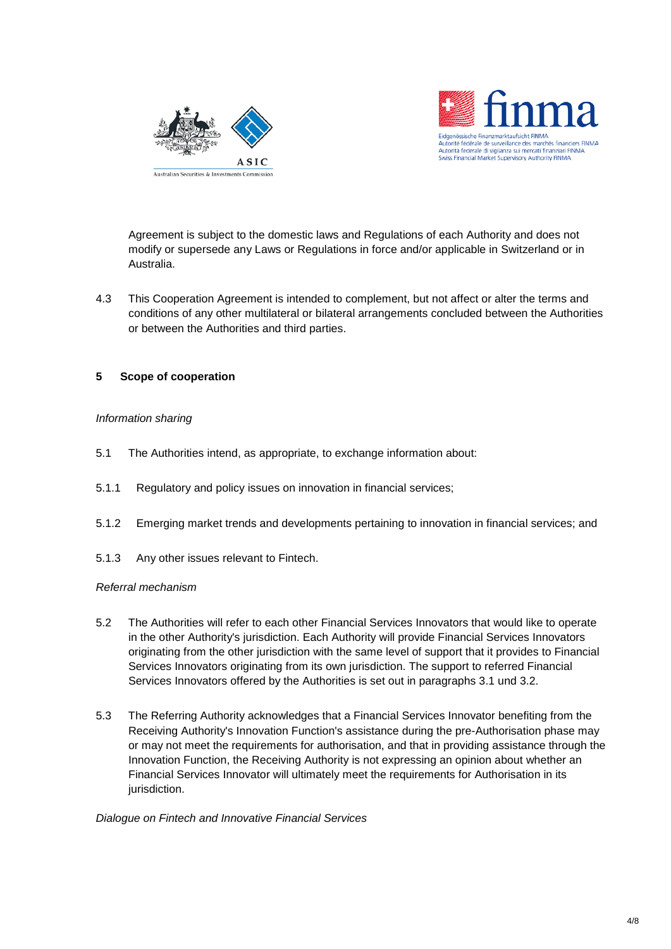



Agreement is subject to the domestic laws and Regulations of each Authority and does not modify or supersede any Laws or Regulations in force and/or applicable in Switzerland or in Australia.

4.3 This Cooperation Agreement is intended to complement, but not affect or alter the terms and conditions of any other multilateral or bilateral arrangements concluded between the Authorities or between the Authorities and third parties.

### **5 Scope of cooperation**

### *Information sharing*

- 5.1 The Authorities intend, as appropriate, to exchange information about:
- 5.1.1 Regulatory and policy issues on innovation in financial services;
- 5.1.2 Emerging market trends and developments pertaining to innovation in financial services; and
- 5.1.3 Any other issues relevant to Fintech.

#### *Referral mechanism*

- 5.2 The Authorities will refer to each other Financial Services Innovators that would like to operate in the other Authority's jurisdiction. Each Authority will provide Financial Services Innovators originating from the other jurisdiction with the same level of support that it provides to Financial Services Innovators originating from its own jurisdiction. The support to referred Financial Services Innovators offered by the Authorities is set out in paragraphs 3.1 und 3.2.
- 5.3 The Referring Authority acknowledges that a Financial Services Innovator benefiting from the Receiving Authority's Innovation Function's assistance during the pre-Authorisation phase may or may not meet the requirements for authorisation, and that in providing assistance through the Innovation Function, the Receiving Authority is not expressing an opinion about whether an Financial Services Innovator will ultimately meet the requirements for Authorisation in its jurisdiction.

#### *Dialogue on Fintech and Innovative Financial Services*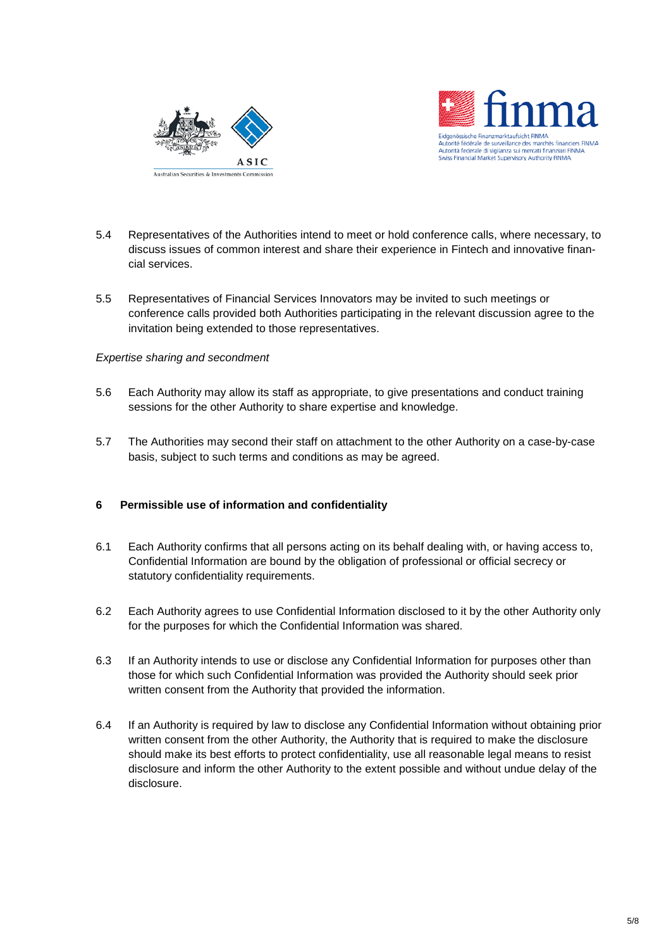



- 5.4 Representatives of the Authorities intend to meet or hold conference calls, where necessary, to discuss issues of common interest and share their experience in Fintech and innovative financial services.
- 5.5 Representatives of Financial Services Innovators may be invited to such meetings or conference calls provided both Authorities participating in the relevant discussion agree to the invitation being extended to those representatives.

### *Expertise sharing and secondment*

- 5.6 Each Authority may allow its staff as appropriate, to give presentations and conduct training sessions for the other Authority to share expertise and knowledge.
- 5.7 The Authorities may second their staff on attachment to the other Authority on a case-by-case basis, subject to such terms and conditions as may be agreed.

## **6 Permissible use of information and confidentiality**

- 6.1 Each Authority confirms that all persons acting on its behalf dealing with, or having access to, Confidential Information are bound by the obligation of professional or official secrecy or statutory confidentiality requirements.
- 6.2 Each Authority agrees to use Confidential Information disclosed to it by the other Authority only for the purposes for which the Confidential Information was shared.
- 6.3 If an Authority intends to use or disclose any Confidential Information for purposes other than those for which such Confidential Information was provided the Authority should seek prior written consent from the Authority that provided the information.
- 6.4 If an Authority is required by law to disclose any Confidential Information without obtaining prior written consent from the other Authority, the Authority that is required to make the disclosure should make its best efforts to protect confidentiality, use all reasonable legal means to resist disclosure and inform the other Authority to the extent possible and without undue delay of the disclosure.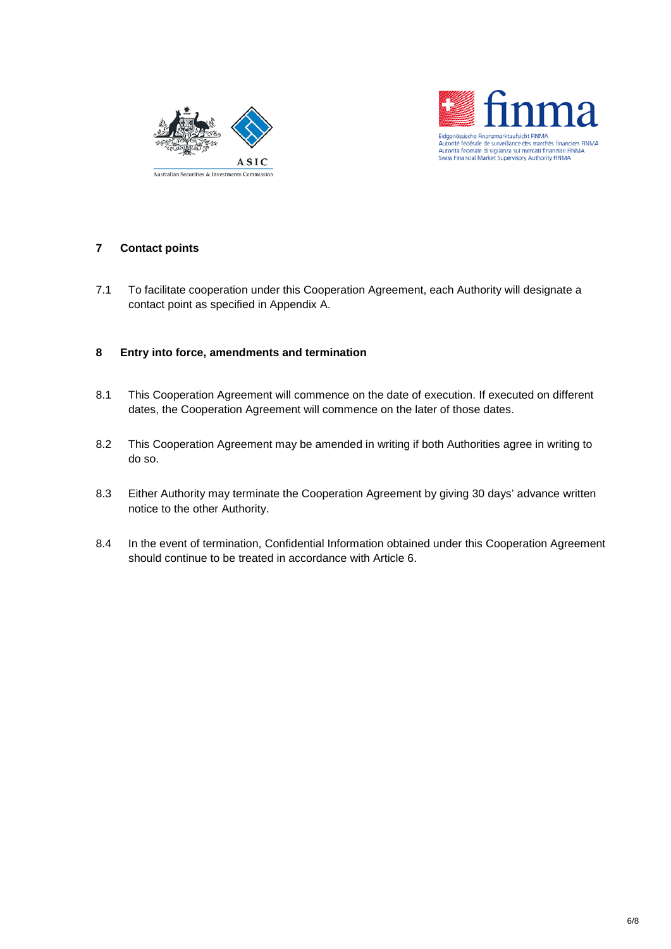



### **7 Contact points**

7.1 To facilitate cooperation under this Cooperation Agreement, each Authority will designate a contact point as specified in Appendix A.

### **8 Entry into force, amendments and termination**

- 8.1 This Cooperation Agreement will commence on the date of execution. If executed on different dates, the Cooperation Agreement will commence on the later of those dates.
- 8.2 This Cooperation Agreement may be amended in writing if both Authorities agree in writing to do so.
- 8.3 Either Authority may terminate the Cooperation Agreement by giving 30 days' advance written notice to the other Authority.
- 8.4 In the event of termination, Confidential Information obtained under this Cooperation Agreement should continue to be treated in accordance with Article 6.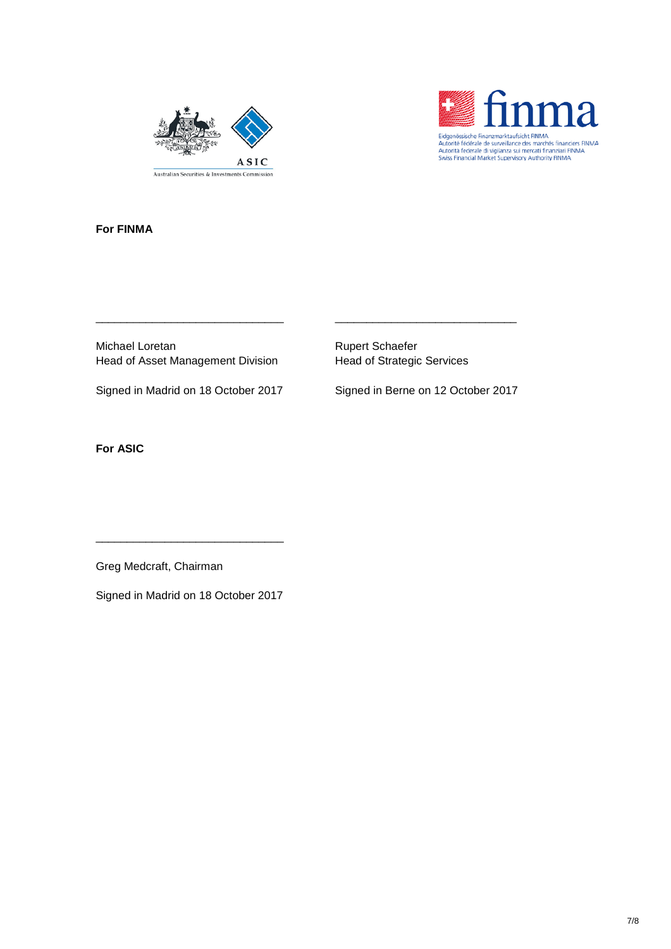



**For FINMA**

Michael Loretan **Rupert Schaefer** Rupert Schaefer Head of Asset Management Division Head of Strategic Services

\_\_\_\_\_\_\_\_\_\_\_\_\_\_\_\_\_\_\_\_\_\_\_\_\_\_\_\_\_\_ \_\_\_\_\_\_\_\_\_\_\_\_\_\_\_\_\_\_\_\_\_\_\_\_\_\_\_\_\_

Signed in Madrid on 18 October 2017 Signed in Berne on 12 October 2017

**For ASIC**

Greg Medcraft, Chairman

Signed in Madrid on 18 October 2017

\_\_\_\_\_\_\_\_\_\_\_\_\_\_\_\_\_\_\_\_\_\_\_\_\_\_\_\_\_\_